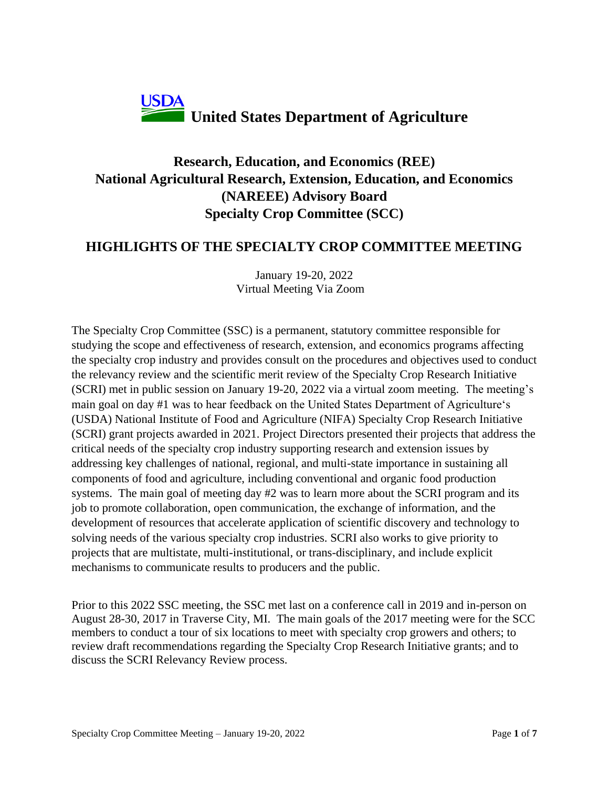

# **Research, Education, and Economics (REE) National Agricultural Research, Extension, Education, and Economics (NAREEE) Advisory Board Specialty Crop Committee (SCC)**

## **HIGHLIGHTS OF THE SPECIALTY CROP COMMITTEE MEETING**

January 19-20, 2022 Virtual Meeting Via Zoom

The Specialty Crop Committee (SSC) is a permanent, statutory committee responsible for studying the scope and effectiveness of research, extension, and economics programs affecting the specialty crop industry and provides consult on the procedures and objectives used to conduct the relevancy review and the scientific merit review of the Specialty Crop Research Initiative (SCRI) met in public session on January 19-20, 2022 via a virtual zoom meeting. The meeting's main goal on day #1 was to hear feedback on the United States Department of Agriculture's (USDA) National Institute of Food and Agriculture (NIFA) Specialty Crop Research Initiative (SCRI) grant projects awarded in 2021. Project Directors presented their projects that address the critical needs of the specialty crop industry supporting research and extension issues by addressing key challenges of national, regional, and multi-state importance in sustaining all components of food and agriculture, including conventional and organic food production systems. The main goal of meeting day #2 was to learn more about the SCRI program and its job to promote collaboration, open communication, the exchange of information, and the development of resources that accelerate application of scientific discovery and technology to solving needs of the various specialty crop industries. SCRI also works to give priority to projects that are multistate, multi-institutional, or trans-disciplinary, and include explicit mechanisms to communicate results to producers and the public.

Prior to this 2022 SSC meeting, the SSC met last on a conference call in 2019 and in-person on August 28-30, 2017 in Traverse City, MI. The main goals of the 2017 meeting were for the SCC members to conduct a tour of six locations to meet with specialty crop growers and others; to review draft recommendations regarding the Specialty Crop Research Initiative grants; and to discuss the SCRI Relevancy Review process.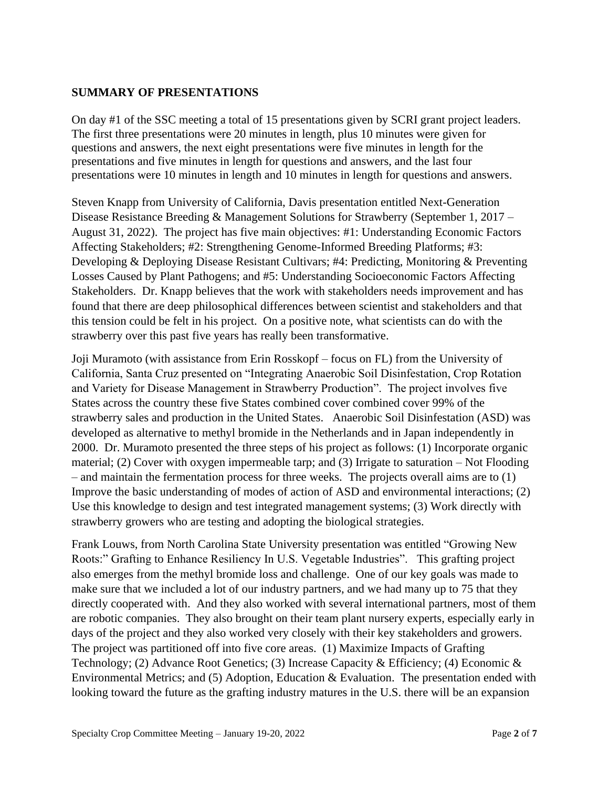### **SUMMARY OF PRESENTATIONS**

On day #1 of the SSC meeting a total of 15 presentations given by SCRI grant project leaders. The first three presentations were 20 minutes in length, plus 10 minutes were given for questions and answers, the next eight presentations were five minutes in length for the presentations and five minutes in length for questions and answers, and the last four presentations were 10 minutes in length and 10 minutes in length for questions and answers.

Steven Knapp from University of California, Davis presentation entitled Next-Generation Disease Resistance Breeding & Management Solutions for Strawberry (September 1, 2017 – August 31, 2022). The project has five main objectives: #1: Understanding Economic Factors Affecting Stakeholders; #2: Strengthening Genome-Informed Breeding Platforms; #3: Developing & Deploying Disease Resistant Cultivars; #4: Predicting, Monitoring & Preventing Losses Caused by Plant Pathogens; and #5: Understanding Socioeconomic Factors Affecting Stakeholders. Dr. Knapp believes that the work with stakeholders needs improvement and has found that there are deep philosophical differences between scientist and stakeholders and that this tension could be felt in his project. On a positive note, what scientists can do with the strawberry over this past five years has really been transformative.

Joji Muramoto (with assistance from Erin Rosskopf – focus on FL) from the University of California, Santa Cruz presented on "Integrating Anaerobic Soil Disinfestation, Crop Rotation and Variety for Disease Management in Strawberry Production". The project involves five States across the country these five States combined cover combined cover 99% of the strawberry sales and production in the United States. Anaerobic Soil Disinfestation (ASD) was developed as alternative to methyl bromide in the Netherlands and in Japan independently in 2000. Dr. Muramoto presented the three steps of his project as follows: (1) Incorporate organic material; (2) Cover with oxygen impermeable tarp; and (3) Irrigate to saturation  $-$  Not Flooding – and maintain the fermentation process for three weeks. The projects overall aims are to (1) Improve the basic understanding of modes of action of ASD and environmental interactions; (2) Use this knowledge to design and test integrated management systems; (3) Work directly with strawberry growers who are testing and adopting the biological strategies.

Frank Louws, from North Carolina State University presentation was entitled "Growing New Roots:" Grafting to Enhance Resiliency In U.S. Vegetable Industries". This grafting project also emerges from the methyl bromide loss and challenge. One of our key goals was made to make sure that we included a lot of our industry partners, and we had many up to 75 that they directly cooperated with. And they also worked with several international partners, most of them are robotic companies. They also brought on their team plant nursery experts, especially early in days of the project and they also worked very closely with their key stakeholders and growers. The project was partitioned off into five core areas. (1) Maximize Impacts of Grafting Technology; (2) Advance Root Genetics; (3) Increase Capacity & Efficiency; (4) Economic & Environmental Metrics; and (5) Adoption, Education & Evaluation. The presentation ended with looking toward the future as the grafting industry matures in the U.S. there will be an expansion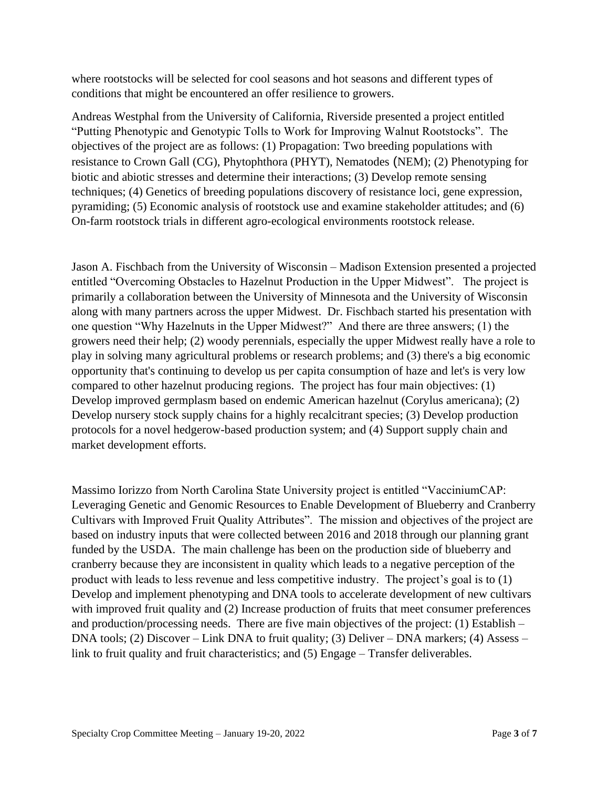where rootstocks will be selected for cool seasons and hot seasons and different types of conditions that might be encountered an offer resilience to growers.

Andreas Westphal from the University of California, Riverside presented a project entitled "Putting Phenotypic and Genotypic Tolls to Work for Improving Walnut Rootstocks". The objectives of the project are as follows: (1) Propagation: Two breeding populations with resistance to Crown Gall (CG), Phytophthora (PHYT), Nematodes (NEM); (2) Phenotyping for biotic and abiotic stresses and determine their interactions; (3) Develop remote sensing techniques; (4) Genetics of breeding populations discovery of resistance loci, gene expression, pyramiding; (5) Economic analysis of rootstock use and examine stakeholder attitudes; and (6) On-farm rootstock trials in different agro-ecological environments rootstock release.

Jason A. Fischbach from the University of Wisconsin – Madison Extension presented a projected entitled "Overcoming Obstacles to Hazelnut Production in the Upper Midwest". The project is primarily a collaboration between the University of Minnesota and the University of Wisconsin along with many partners across the upper Midwest. Dr. Fischbach started his presentation with one question "Why Hazelnuts in the Upper Midwest?" And there are three answers; (1) the growers need their help; (2) woody perennials, especially the upper Midwest really have a role to play in solving many agricultural problems or research problems; and (3) there's a big economic opportunity that's continuing to develop us per capita consumption of haze and let's is very low compared to other hazelnut producing regions. The project has four main objectives: (1) Develop improved germplasm based on endemic American hazelnut (Corylus americana); (2) Develop nursery stock supply chains for a highly recalcitrant species; (3) Develop production protocols for a novel hedgerow-based production system; and (4) Support supply chain and market development efforts.

Massimo Iorizzo from North Carolina State University project is entitled "VacciniumCAP: Leveraging Genetic and Genomic Resources to Enable Development of Blueberry and Cranberry Cultivars with Improved Fruit Quality Attributes". The mission and objectives of the project are based on industry inputs that were collected between 2016 and 2018 through our planning grant funded by the USDA. The main challenge has been on the production side of blueberry and cranberry because they are inconsistent in quality which leads to a negative perception of the product with leads to less revenue and less competitive industry. The project's goal is to (1) Develop and implement phenotyping and DNA tools to accelerate development of new cultivars with improved fruit quality and (2) Increase production of fruits that meet consumer preferences and production/processing needs. There are five main objectives of the project: (1) Establish – DNA tools; (2) Discover – Link DNA to fruit quality; (3) Deliver – DNA markers; (4) Assess – link to fruit quality and fruit characteristics; and (5) Engage – Transfer deliverables.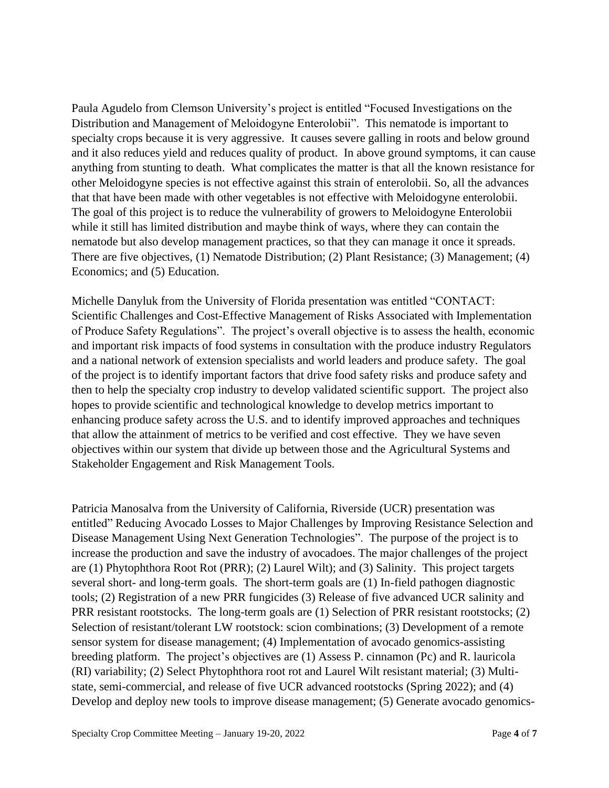Paula Agudelo from Clemson University's project is entitled "Focused Investigations on the Distribution and Management of Meloidogyne Enterolobii". This nematode is important to specialty crops because it is very aggressive. It causes severe galling in roots and below ground and it also reduces yield and reduces quality of product. In above ground symptoms, it can cause anything from stunting to death. What complicates the matter is that all the known resistance for other Meloidogyne species is not effective against this strain of enterolobii. So, all the advances that that have been made with other vegetables is not effective with Meloidogyne enterolobii. The goal of this project is to reduce the vulnerability of growers to Meloidogyne Enterolobii while it still has limited distribution and maybe think of ways, where they can contain the nematode but also develop management practices, so that they can manage it once it spreads. There are five objectives, (1) Nematode Distribution; (2) Plant Resistance; (3) Management; (4) Economics; and (5) Education.

Michelle Danyluk from the University of Florida presentation was entitled "CONTACT: Scientific Challenges and Cost-Effective Management of Risks Associated with Implementation of Produce Safety Regulations". The project's overall objective is to assess the health, economic and important risk impacts of food systems in consultation with the produce industry Regulators and a national network of extension specialists and world leaders and produce safety. The goal of the project is to identify important factors that drive food safety risks and produce safety and then to help the specialty crop industry to develop validated scientific support. The project also hopes to provide scientific and technological knowledge to develop metrics important to enhancing produce safety across the U.S. and to identify improved approaches and techniques that allow the attainment of metrics to be verified and cost effective. They we have seven objectives within our system that divide up between those and the Agricultural Systems and Stakeholder Engagement and Risk Management Tools.

Patricia Manosalva from the University of California, Riverside (UCR) presentation was entitled" Reducing Avocado Losses to Major Challenges by Improving Resistance Selection and Disease Management Using Next Generation Technologies". The purpose of the project is to increase the production and save the industry of avocadoes. The major challenges of the project are (1) Phytophthora Root Rot (PRR); (2) Laurel Wilt); and (3) Salinity. This project targets several short- and long-term goals. The short-term goals are (1) In-field pathogen diagnostic tools; (2) Registration of a new PRR fungicides (3) Release of five advanced UCR salinity and PRR resistant rootstocks. The long-term goals are (1) Selection of PRR resistant rootstocks; (2) Selection of resistant/tolerant LW rootstock: scion combinations; (3) Development of a remote sensor system for disease management; (4) Implementation of avocado genomics-assisting breeding platform. The project's objectives are (1) Assess P. cinnamon (Pc) and R. lauricola (RI) variability; (2) Select Phytophthora root rot and Laurel Wilt resistant material; (3) Multistate, semi-commercial, and release of five UCR advanced rootstocks (Spring 2022); and (4) Develop and deploy new tools to improve disease management; (5) Generate avocado genomics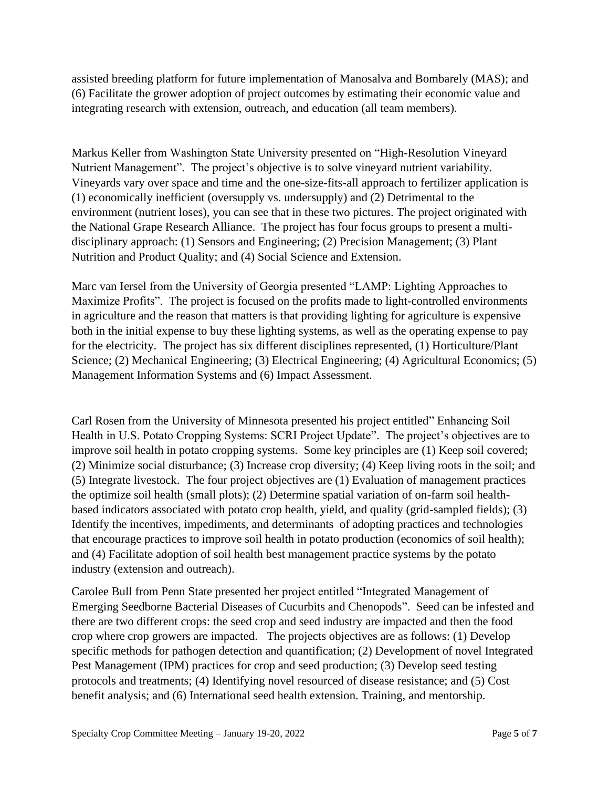assisted breeding platform for future implementation of Manosalva and Bombarely (MAS); and (6) Facilitate the grower adoption of project outcomes by estimating their economic value and integrating research with extension, outreach, and education (all team members).

Markus Keller from Washington State University presented on "High-Resolution Vineyard Nutrient Management". The project's objective is to solve vineyard nutrient variability. Vineyards vary over space and time and the one-size-fits-all approach to fertilizer application is (1) economically inefficient (oversupply vs. undersupply) and (2) Detrimental to the environment (nutrient loses), you can see that in these two pictures. The project originated with the National Grape Research Alliance. The project has four focus groups to present a multidisciplinary approach: (1) Sensors and Engineering; (2) Precision Management; (3) Plant Nutrition and Product Quality; and (4) Social Science and Extension.

Marc van Iersel from the University of Georgia presented "LAMP: Lighting Approaches to Maximize Profits". The project is focused on the profits made to light-controlled environments in agriculture and the reason that matters is that providing lighting for agriculture is expensive both in the initial expense to buy these lighting systems, as well as the operating expense to pay for the electricity. The project has six different disciplines represented, (1) Horticulture/Plant Science; (2) Mechanical Engineering; (3) Electrical Engineering; (4) Agricultural Economics; (5) Management Information Systems and (6) Impact Assessment.

Carl Rosen from the University of Minnesota presented his project entitled" Enhancing Soil Health in U.S. Potato Cropping Systems: SCRI Project Update". The project's objectives are to improve soil health in potato cropping systems. Some key principles are (1) Keep soil covered; (2) Minimize social disturbance; (3) Increase crop diversity; (4) Keep living roots in the soil; and (5) Integrate livestock. The four project objectives are (1) Evaluation of management practices the optimize soil health (small plots); (2) Determine spatial variation of on-farm soil healthbased indicators associated with potato crop health, yield, and quality (grid-sampled fields); (3) Identify the incentives, impediments, and determinants of adopting practices and technologies that encourage practices to improve soil health in potato production (economics of soil health); and (4) Facilitate adoption of soil health best management practice systems by the potato industry (extension and outreach).

Carolee Bull from Penn State presented her project entitled "Integrated Management of Emerging Seedborne Bacterial Diseases of Cucurbits and Chenopods". Seed can be infested and there are two different crops: the seed crop and seed industry are impacted and then the food crop where crop growers are impacted. The projects objectives are as follows: (1) Develop specific methods for pathogen detection and quantification; (2) Development of novel Integrated Pest Management (IPM) practices for crop and seed production; (3) Develop seed testing protocols and treatments; (4) Identifying novel resourced of disease resistance; and (5) Cost benefit analysis; and (6) International seed health extension. Training, and mentorship.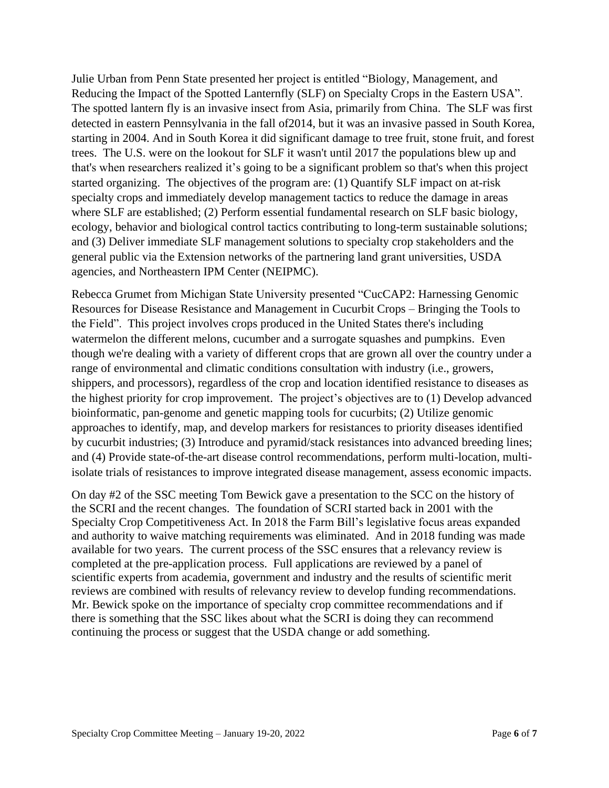Julie Urban from Penn State presented her project is entitled "Biology, Management, and Reducing the Impact of the Spotted Lanternfly (SLF) on Specialty Crops in the Eastern USA". The spotted lantern fly is an invasive insect from Asia, primarily from China. The SLF was first detected in eastern Pennsylvania in the fall of2014, but it was an invasive passed in South Korea, starting in 2004. And in South Korea it did significant damage to tree fruit, stone fruit, and forest trees. The U.S. were on the lookout for SLF it wasn't until 2017 the populations blew up and that's when researchers realized it's going to be a significant problem so that's when this project started organizing. The objectives of the program are: (1) Quantify SLF impact on at-risk specialty crops and immediately develop management tactics to reduce the damage in areas where SLF are established; (2) Perform essential fundamental research on SLF basic biology, ecology, behavior and biological control tactics contributing to long-term sustainable solutions; and (3) Deliver immediate SLF management solutions to specialty crop stakeholders and the general public via the Extension networks of the partnering land grant universities, USDA agencies, and Northeastern IPM Center (NEIPMC).

Rebecca Grumet from Michigan State University presented "CucCAP2: Harnessing Genomic Resources for Disease Resistance and Management in Cucurbit Crops – Bringing the Tools to the Field". This project involves crops produced in the United States there's including watermelon the different melons, cucumber and a surrogate squashes and pumpkins. Even though we're dealing with a variety of different crops that are grown all over the country under a range of environmental and climatic conditions consultation with industry (i.e., growers, shippers, and processors), regardless of the crop and location identified resistance to diseases as the highest priority for crop improvement. The project's objectives are to (1) Develop advanced bioinformatic, pan-genome and genetic mapping tools for cucurbits; (2) Utilize genomic approaches to identify, map, and develop markers for resistances to priority diseases identified by cucurbit industries; (3) Introduce and pyramid/stack resistances into advanced breeding lines; and (4) Provide state-of-the-art disease control recommendations, perform multi-location, multiisolate trials of resistances to improve integrated disease management, assess economic impacts.

On day #2 of the SSC meeting Tom Bewick gave a presentation to the SCC on the history of the SCRI and the recent changes. The foundation of SCRI started back in 2001 with the Specialty Crop Competitiveness Act. In 2018 the Farm Bill's legislative focus areas expanded and authority to waive matching requirements was eliminated. And in 2018 funding was made available for two years. The current process of the SSC ensures that a relevancy review is completed at the pre-application process. Full applications are reviewed by a panel of scientific experts from academia, government and industry and the results of scientific merit reviews are combined with results of relevancy review to develop funding recommendations. Mr. Bewick spoke on the importance of specialty crop committee recommendations and if there is something that the SSC likes about what the SCRI is doing they can recommend continuing the process or suggest that the USDA change or add something.